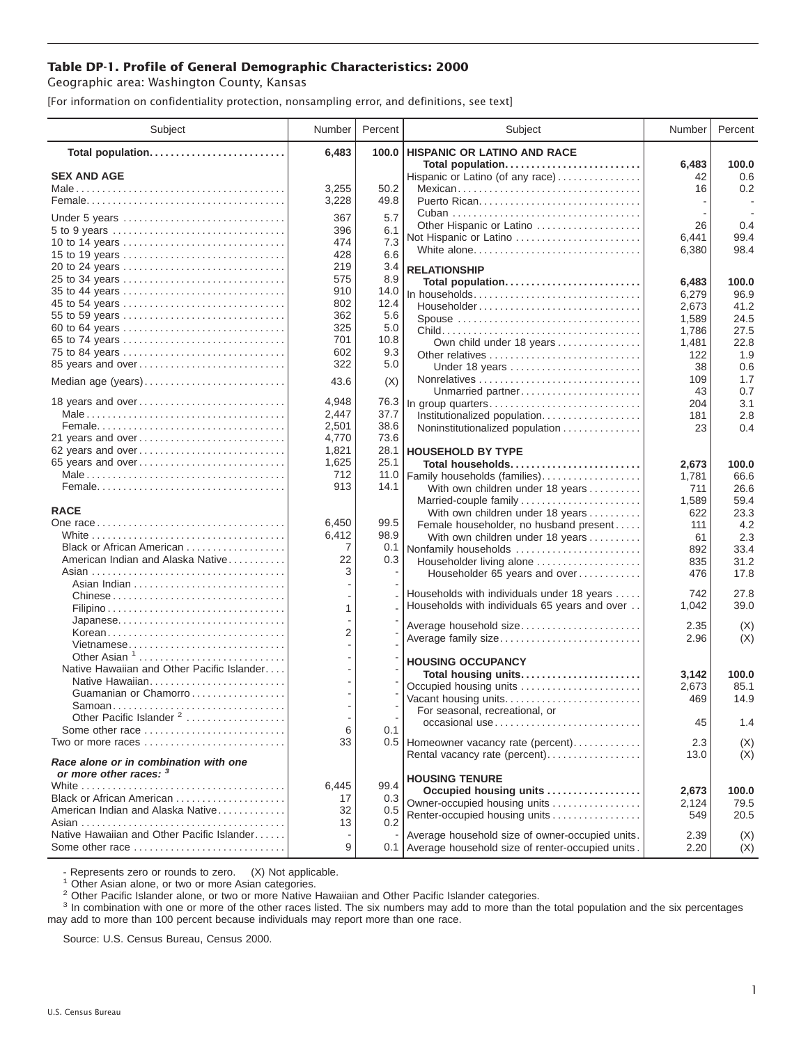## **Table DP-1. Profile of General Demographic Characteristics: 2000**

Geographic area: Washington County, Kansas

[For information on confidentiality protection, nonsampling error, and definitions, see text]

| Subject                                                         | Number         | Percent      | Subject                                                | Number       | Percent       |
|-----------------------------------------------------------------|----------------|--------------|--------------------------------------------------------|--------------|---------------|
| Total population                                                | 6,483          | 100.0        | <b>HISPANIC OR LATINO AND RACE</b>                     |              |               |
| <b>SEX AND AGE</b>                                              |                |              | Total population                                       | 6,483<br>42  | 100.0<br>0.6  |
|                                                                 | 3,255          | 50.2         | Hispanic or Latino (of any race)<br>Mexican            | 16           | 0.2           |
|                                                                 | 3,228          | 49.8         |                                                        |              |               |
|                                                                 |                |              |                                                        |              |               |
| Under 5 years                                                   | 367            | 5.7          | Other Hispanic or Latino                               | 26           | 0.4           |
|                                                                 | 396<br>474     | 6.1<br>7.3   | Not Hispanic or Latino                                 | 6,441        | 99.4          |
| 10 to 14 years<br>15 to 19 years                                | 428            | 6.6          | White alone                                            | 6,380        | 98.4          |
|                                                                 | 219            | 3.4          | <b>RELATIONSHIP</b>                                    |              |               |
| 25 to 34 years                                                  | 575            | 8.9          |                                                        | 6,483        | 100.0         |
| 35 to 44 years                                                  | 910            | 14.0         | Total population<br>In households                      | 6,279        | 96.9          |
| 45 to 54 years                                                  | 802            | 12.4         | Householder                                            | 2,673        | 41.2          |
| 55 to 59 years                                                  | 362            | 5.6          | Spouse                                                 | 1,589        | 24.5          |
| 60 to 64 years                                                  | 325            | 5.0          |                                                        | 1,786        | 27.5          |
| 65 to 74 years                                                  | 701            | 10.8         | Own child under 18 years                               | 1,481        | 22.8          |
| 75 to 84 years                                                  | 602            | 9.3          |                                                        | 122          | 1.9           |
| 85 years and over                                               | 322            | 5.0          | Under 18 years                                         | 38           | 0.6           |
| Median age (years)                                              | 43.6           | (X)          |                                                        | 109          | 1.7           |
|                                                                 |                |              | Unmarried partner                                      | 43           | 0.7           |
| 18 years and over                                               | 4,948          | 76.3         | In group quarters                                      | 204          | 3.1           |
|                                                                 | 2,447          | 37.7         | Institutionalized population.                          | 181          | 2.8           |
| 21 years and over                                               | 2,501          | 38.6<br>73.6 | Noninstitutionalized population                        | 23           | 0.4           |
|                                                                 | 4,770<br>1,821 | 28.1         |                                                        |              |               |
| 62 years and over<br>65 years and over                          | 1,625          | 25.1         | <b>HOUSEHOLD BY TYPE</b>                               |              |               |
|                                                                 | 712            | 11.0         | Total households<br>Family households (families)       | 2,673        | 100.0<br>66.6 |
|                                                                 | 913            | 14.1         | With own children under 18 years                       | 1,781<br>711 | 26.6          |
|                                                                 |                |              | Married-couple family                                  | 1,589        | 59.4          |
| <b>RACE</b>                                                     |                |              | With own children under 18 years                       | 622          | 23.3          |
|                                                                 | 6,450          | 99.5         | Female householder, no husband present                 | 111          | 4.2           |
|                                                                 | 6,412          | 98.9         | With own children under 18 years                       | 61           | 2.3           |
| Black or African American                                       | 7              | 0.1          | Nonfamily households                                   | 892          | 33.4          |
| American Indian and Alaska Native                               | 22             | 0.3          | Householder living alone                               | 835          | 31.2          |
|                                                                 | 3              |              | Householder 65 years and over                          | 476          | 17.8          |
|                                                                 |                |              | Households with individuals under 18 years             | 742          | 27.8          |
| Chinese                                                         | $\mathbf{1}$   |              | Households with individuals 65 years and over          | 1,042        | 39.0          |
|                                                                 |                |              |                                                        |              |               |
| Japanese<br>Korean                                              | $\overline{2}$ |              | Average household size                                 | 2.35         | (X)           |
| Vietnamese                                                      |                |              | Average family size                                    | 2.96         | (X)           |
| Other Asian $1, \ldots, \ldots, \ldots, \ldots, \ldots, \ldots$ |                |              |                                                        |              |               |
| Native Hawaiian and Other Pacific Islander                      |                |              | <b>HOUSING OCCUPANCY</b>                               |              |               |
| Native Hawaiian                                                 |                |              | Total housing units<br>Occupied housing units          | 3,142        | 100.0<br>85.1 |
| Guamanian or Chamorro                                           |                |              | Vacant housing units                                   | 2,673<br>469 | 14.9          |
| Samoan                                                          |                |              | For seasonal, recreational, or                         |              |               |
| Other Pacific Islander <sup>2</sup>                             |                |              | occasional use                                         | 45           | 1.4           |
| Some other race                                                 | 6              | 0.1          |                                                        |              |               |
| Two or more races                                               | 33             |              | 0.5   Homeowner vacancy rate (percent)                 | 2.3          | (X)           |
| Race alone or in combination with one<br>or more other races: 3 |                |              | Rental vacancy rate (percent)                          | 13.0         | (X)           |
|                                                                 | 6,445          | 99.4         | <b>HOUSING TENURE</b>                                  |              |               |
| Black or African American                                       | 17             | 0.3          | Occupied housing units<br>Owner-occupied housing units | 2,673        | 100.0         |
| American Indian and Alaska Native                               | 32             | 0.5          | Renter-occupied housing units                          | 2,124<br>549 | 79.5<br>20.5  |
|                                                                 | 13             | 0.2          |                                                        |              |               |
| Native Hawaiian and Other Pacific Islander                      |                |              | Average household size of owner-occupied units.        | 2.39         | (X)           |
| Some other race                                                 | 9              |              | 0.1 Average household size of renter-occupied units.   | 2.20         | (X)           |

- Represents zero or rounds to zero. (X) Not applicable.<br><sup>1</sup> Other Asian alone, or two or more Asian categories.

<sup>2</sup> Other Pacific Islander alone, or two or more Native Hawaiian and Other Pacific Islander categories.<br><sup>3</sup> In combination with one or more of the other races listed. The six numbers may add to more than the total populati may add to more than 100 percent because individuals may report more than one race.

Source: U.S. Census Bureau, Census 2000.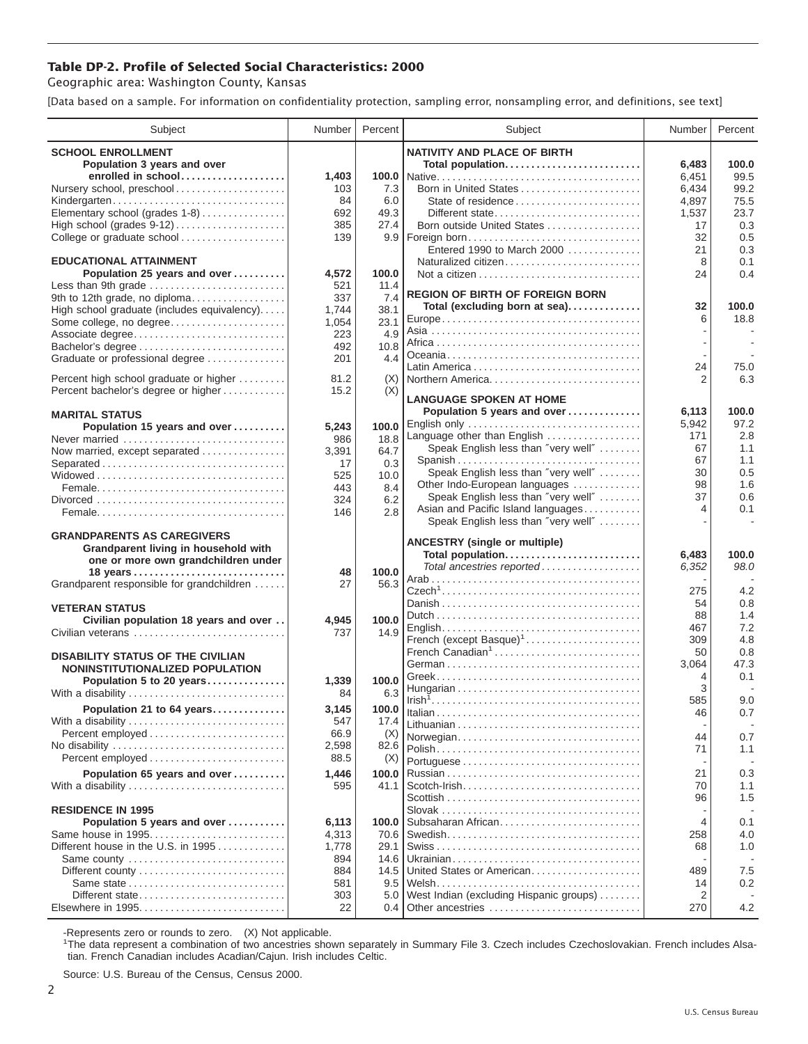## **Table DP-2. Profile of Selected Social Characteristics: 2000**

Geographic area: Washington County, Kansas

[Data based on a sample. For information on confidentiality protection, sampling error, nonsampling error, and definitions, see text]

| Subject                                     | Number    | Percent     | Subject                                                              | Number    | Percent    |
|---------------------------------------------|-----------|-------------|----------------------------------------------------------------------|-----------|------------|
| <b>SCHOOL ENROLLMENT</b>                    |           |             | <b>NATIVITY AND PLACE OF BIRTH</b>                                   |           |            |
| Population 3 years and over                 |           |             | Total population                                                     | 6,483     | 100.0      |
| enrolled in school                          | 1,403     |             |                                                                      | 6,451     | 99.5       |
| Nursery school, preschool                   | 103       | 7.3         | Born in United States                                                | 6,434     | 99.2       |
| Kindergarten                                | 84        | 6.0         | State of residence                                                   | 4,897     | 75.5       |
| Elementary school (grades 1-8)              | 692       | 49.3        | Different state                                                      | 1,537     | 23.7       |
| High school (grades 9-12)                   | 385       | 27.4        | Born outside United States                                           | 17        | 0.3        |
| College or graduate school                  | 139       |             |                                                                      | 32        | 0.5        |
|                                             |           |             | Entered 1990 to March 2000                                           | 21        | 0.3        |
| <b>EDUCATIONAL ATTAINMENT</b>               |           |             | Naturalized citizen                                                  | 8         | 0.1        |
| Population 25 years and over                | 4,572     | 100.0       |                                                                      | 24        | 0.4        |
| Less than 9th grade                         | 521       | 11.4        | <b>REGION OF BIRTH OF FOREIGN BORN</b>                               |           |            |
| 9th to 12th grade, no diploma               | 337       | 7.4         | Total (excluding born at sea)                                        | 32        | 100.0      |
| High school graduate (includes equivalency) | 1,744     | 38.1        |                                                                      | 6         | 18.8       |
| Some college, no degree                     | 1,054     | 23.1        |                                                                      |           |            |
| Associate degree                            | 223       | 4.9         |                                                                      |           |            |
| Bachelor's degree                           | 492       | 10.8<br>4.4 |                                                                      |           |            |
| Graduate or professional degree             | 201       |             |                                                                      | 24        | 75.0       |
| Percent high school graduate or higher      | 81.2      | (X)         | Northern America                                                     | 2         | 6.3        |
| Percent bachelor's degree or higher         | 15.2      | (X)         |                                                                      |           |            |
|                                             |           |             | <b>LANGUAGE SPOKEN AT HOME</b>                                       |           |            |
| <b>MARITAL STATUS</b>                       |           |             | Population 5 years and over                                          | 6,113     | 100.0      |
| Population 15 years and over                | 5,243     | 100.0       | English only                                                         | 5,942     | 97.2       |
| Never married                               | 986       | 18.8        | Language other than English                                          | 171       | 2.8        |
| Now married, except separated               | 3,391     | 64.7        | Speak English less than "very well"                                  | 67        | 1.1        |
| Separated                                   | 17        | 0.3         | Spanish                                                              | 67<br>30  | 1.1<br>0.5 |
|                                             | 525       | 10.0        | Speak English less than "very well"<br>Other Indo-European languages | 98        | 1.6        |
|                                             | 443       | 8.4         | Speak English less than "very well"                                  | 37        | 0.6        |
|                                             | 324       | 6.2         | Asian and Pacific Island languages                                   | 4         | 0.1        |
|                                             | 146       | 2.8         | Speak English less than "very well"                                  |           |            |
| <b>GRANDPARENTS AS CAREGIVERS</b>           |           |             |                                                                      |           |            |
| Grandparent living in household with        |           |             | <b>ANCESTRY (single or multiple)</b>                                 |           |            |
| one or more own grandchildren under         |           |             | Total population                                                     | 6,483     | 100.0      |
| 18 years                                    | 48        | 100.0       | Total ancestries reported                                            | 6,352     | 98.0       |
| Grandparent responsible for grandchildren   | 27        | 56.3        |                                                                      |           |            |
|                                             |           |             |                                                                      | 275       | 4.2        |
| <b>VETERAN STATUS</b>                       |           |             |                                                                      | 54        | 0.8        |
| Civilian population 18 years and over       | 4,945     | 100.0       |                                                                      | 88<br>467 | 1.4<br>7.2 |
| Civilian veterans                           | 737       | 14.9        | French (except Basque) <sup>1</sup>                                  | 309       | 4.8        |
|                                             |           |             | French Canadian <sup>1</sup>                                         | 50        | 0.8        |
| <b>DISABILITY STATUS OF THE CIVILIAN</b>    |           |             |                                                                      | 3,064     | 47.3       |
| NONINSTITUTIONALIZED POPULATION             |           |             |                                                                      | 4         | 0.1        |
| Population 5 to 20 years                    | 1,339     | 100.0       |                                                                      | 3         |            |
| With a disability                           | 84        | 6.3         |                                                                      | 585       | 9.0        |
| Population 21 to 64 years                   | 3,145     | 100.0       |                                                                      | 46        | 0.7        |
| With a disability                           | 547       | 17.4        |                                                                      |           |            |
|                                             | 66.9      | (X)         | Norwegian                                                            | 44        | 0.7        |
| No disability                               | 2,598     | 82.6        |                                                                      | 71        | 1.1        |
|                                             | 88.5      | (X)         |                                                                      |           |            |
| Population 65 years and over                | 1,446     | 100.0       |                                                                      | 21        | 0.3        |
| With a disability                           | 595       | 41.1        |                                                                      | 70        | 1.1        |
|                                             |           |             |                                                                      | 96        | 1.5        |
| <b>RESIDENCE IN 1995</b>                    |           |             |                                                                      |           |            |
| Population 5 years and over                 | 6,113     | 100.0       | Subsaharan African                                                   | 4         | 0.1        |
| Same house in 1995                          | 4,313     | 70.6        |                                                                      | 258       | 4.0        |
| Different house in the U.S. in 1995         | 1,778     | 29.1        |                                                                      | 68        | 1.0        |
| Same county                                 | 894       | 14.6        |                                                                      |           |            |
| Different county                            | 884       | 14.5        | United States or American                                            | 489       | 7.5        |
| Same state<br>Different state               | 581       | 9.5         |                                                                      | 14<br>2   | 0.2        |
|                                             | 303<br>22 | 5.0<br>0.4  | West Indian (excluding Hispanic groups)<br>Other ancestries          | 270       | 4.2        |
|                                             |           |             |                                                                      |           |            |

-Represents zero or rounds to zero. (X) Not applicable. 1 The data represent a combination of two ancestries shown separately in Summary File 3. Czech includes Czechoslovakian. French includes Alsatian. French Canadian includes Acadian/Cajun. Irish includes Celtic.

Source: U.S. Bureau of the Census, Census 2000.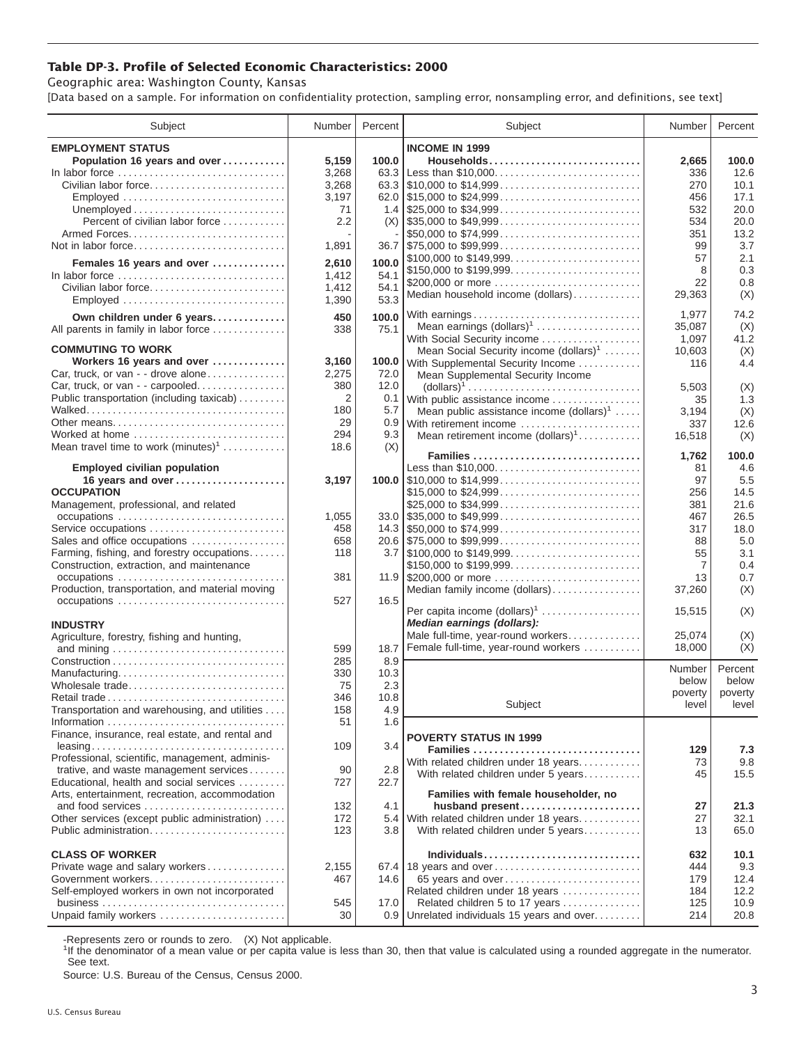## **Table DP-3. Profile of Selected Economic Characteristics: 2000**

Geographic area: Washington County, Kansas

[Data based on a sample. For information on confidentiality protection, sampling error, nonsampling error, and definitions, see text]

| Subject                                                             | Number | Percent      | Subject                                                                       | Number     | Percent      |
|---------------------------------------------------------------------|--------|--------------|-------------------------------------------------------------------------------|------------|--------------|
| <b>EMPLOYMENT STATUS</b>                                            |        |              | <b>INCOME IN 1999</b>                                                         |            |              |
| Population 16 years and over                                        | 5,159  | 100.0        | Households                                                                    | 2,665      | 100.0        |
| In labor force                                                      | 3,268  | 63.3         | Less than \$10,000                                                            | 336        | 12.6         |
| Civilian labor force                                                | 3,268  |              |                                                                               | 270        | 10.1         |
| Employed                                                            | 3,197  |              |                                                                               | 456        | 17.1         |
|                                                                     | 71     |              |                                                                               | 532        | 20.0         |
| Percent of civilian labor force                                     | 2.2    | (X)          | $\frac{1}{2}$ \$35,000 to \$49,999                                            | 534        | 20.0         |
|                                                                     |        |              | \$50,000 to \$74,999                                                          | 351        | 13.2         |
| Not in labor force                                                  | 1,891  |              | $36.7$ \, \$75,000 to \$99,999                                                | 99         | 3.7          |
|                                                                     |        | 100.0        | \$100,000 to \$149,999                                                        | 57         | 2.1          |
| Females 16 years and over                                           | 2,610  |              | \$150,000 to \$199,999                                                        | 8          | 0.3          |
| In labor force                                                      | 1,412  | 54.1<br>54.1 | \$200,000 or more                                                             | 22         | 0.8          |
| Civilian labor force                                                | 1,412  | 53.3         | Median household income (dollars)                                             | 29,363     | (X)          |
| Employed                                                            | 1,390  |              |                                                                               |            |              |
| Own children under 6 years                                          | 450    | 100.0        | With earnings                                                                 | 1,977      | 74.2         |
| All parents in family in labor force                                | 338    | 75.1         | Mean earnings (dollars) <sup>1</sup>                                          | 35,087     | (X)          |
| <b>COMMUTING TO WORK</b>                                            |        |              | With Social Security income                                                   | 1,097      | 41.2         |
| Workers 16 years and over                                           | 3,160  |              | Mean Social Security income (dollars) <sup>1</sup>                            | 10,603     | (X)<br>4.4   |
| Car, truck, or van - - drove alone                                  | 2,275  | 72.0         | 100.0 With Supplemental Security Income                                       | 116        |              |
| Car, truck, or van - - carpooled                                    | 380    | 12.0         | Mean Supplemental Security Income                                             | 5,503      | (X)          |
| Public transportation (including taxicab)                           | 2      | 0.1          | With public assistance income                                                 | 35         | 1.3          |
|                                                                     | 180    | 5.7          | Mean public assistance income $(dollars)1 \ldots$ .                           | 3,194      | (X)          |
|                                                                     | 29     | 0.9          | With retirement income                                                        | 337        | 12.6         |
| Worked at home                                                      | 294    | 9.3          | Mean retirement income $(dollars)1$                                           | 16,518     | (X)          |
| Mean travel time to work $(minutes)^1$                              | 18.6   | (X)          |                                                                               |            |              |
|                                                                     |        |              | Families                                                                      | 1,762      | 100.0        |
| <b>Employed civilian population</b>                                 |        |              | Less than \$10,000                                                            | 81         | 4.6          |
| 16 years and over                                                   | 3,197  |              | 100.0 $\mid$ \$10,000 to \$14,999                                             | 97         | 5.5          |
| <b>OCCUPATION</b>                                                   |        |              | \$15,000 to \$24,999                                                          | 256        | 14.5         |
| Management, professional, and related                               |        |              | \$25,000 to \$34,999                                                          | 381        | 21.6         |
|                                                                     | 1,055  |              | $33.0$ \\$35,000 to \$49,999                                                  | 467        | 26.5         |
| Service occupations                                                 | 458    |              |                                                                               | 317        | 18.0         |
| Sales and office occupations                                        | 658    |              | 20.6 \$75,000 to \$99,999                                                     | 88         | 5.0          |
| Farming, fishing, and forestry occupations                          | 118    |              |                                                                               | 55         | 3.1          |
| Construction, extraction, and maintenance                           |        |              | \$150,000 to \$199,999                                                        | 7          | 0.4          |
| occupations                                                         | 381    |              |                                                                               | 13         | 0.7          |
| Production, transportation, and material moving                     |        |              | Median family income (dollars)                                                | 37,260     | (X)          |
|                                                                     | 527    | 16.5         | Per capita income $(dollars)1$                                                | 15,515     | (X)          |
| <b>INDUSTRY</b>                                                     |        |              | Median earnings (dollars):                                                    |            |              |
| Agriculture, forestry, fishing and hunting,                         |        |              | Male full-time, year-round workers                                            | 25,074     | (X)          |
|                                                                     | 599    | 18.7         | Female full-time, year-round workers                                          | 18,000     | (X)          |
|                                                                     | 285    | 8.9          |                                                                               |            |              |
| Manufacturing                                                       | 330    | 10.3         |                                                                               | Number     | Percent      |
| Wholesale trade                                                     | 75     | 2.3          |                                                                               | below      | below        |
|                                                                     | 346    | 10.8         |                                                                               | poverty    | poverty      |
| Transportation and warehousing, and utilities                       | 158    | 4.9          | Subject                                                                       | level      | level        |
|                                                                     | 51     | 1.6          |                                                                               |            |              |
| Finance, insurance, real estate, and rental and                     |        |              | <b>POVERTY STATUS IN 1999</b>                                                 |            |              |
|                                                                     | 109    | 3.4          | Families                                                                      | 129        | 7.3          |
| Professional, scientific, management, adminis-                      |        |              | With related children under 18 years                                          | 73         | 9.8          |
| trative, and waste management services                              | 90     | 2.8          | With related children under 5 years                                           | 45         | 15.5         |
| Educational, health and social services                             | 727    | 22.7         |                                                                               |            |              |
| Arts, entertainment, recreation, accommodation                      |        |              | Families with female householder, no                                          |            |              |
|                                                                     | 132    | 4.1          | husband present                                                               | 27         | 21.3         |
| Other services (except public administration)                       | 172    |              | 5.4 With related children under 18 years                                      | 27         | 32.1         |
| Public administration                                               | 123    | 3.8          | With related children under 5 years                                           | 13         | 65.0         |
|                                                                     |        |              |                                                                               |            |              |
| <b>CLASS OF WORKER</b>                                              |        |              | Individuals                                                                   | 632        | 10.1         |
| Private wage and salary workers                                     | 2,155  |              | 67.4 18 years and over                                                        | 444        | 9.3          |
| Government workers<br>Self-employed workers in own not incorporated | 467    | 14.6         | 65 years and over                                                             | 179        | 12.4<br>12.2 |
|                                                                     | 545    | 17.0         | Related children under 18 years                                               | 184<br>125 | 10.9         |
| Unpaid family workers                                               | 30     |              | Related children 5 to 17 years<br>0.9 Unrelated individuals 15 years and over | 214        | 20.8         |
|                                                                     |        |              |                                                                               |            |              |

-Represents zero or rounds to zero. (X) Not applicable.

<sup>1</sup>If the denominator of a mean value or per capita value is less than 30, then that value is calculated using a rounded aggregate in the numerator. See text.

Source: U.S. Bureau of the Census, Census 2000.